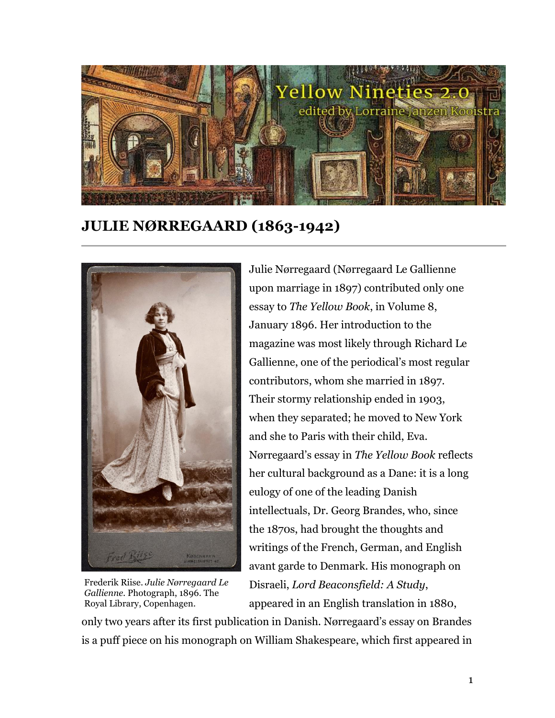

**JULIE NØRREGAARD (1863-1942)**



Frederik Riise. *Julie Nørregaard Le Gallienne.* Photograph, 1896. The Royal Library, Copenhagen.

Julie Nørregaard (Nørregaard Le Gallienne upon marriage in 1897) contributed only one essay to *The Yellow Book*, in Volume 8, January 1896. Her introduction to the magazine was most likely through Richard Le Gallienne, one of the periodical's most regular contributors, whom she married in 1897. Their stormy relationship ended in 1903, when they separated; he moved to New York and she to Paris with their child, Eva. Nørregaard's essay in *The Yellow Book* reflects her cultural background as a Dane: it is a long eulogy of one of the leading Danish intellectuals, Dr. Georg Brandes, who, since the 1870s, had brought the thoughts and writings of the French, German, and English avant garde to Denmark. His monograph on Disraeli, *Lord Beaconsfield: A Study*, appeared in an English translation in 1880,

only two years after its first publication in Danish. Nørregaard's essay on Brandes is a puff piece on his monograph on William Shakespeare, which first appeared in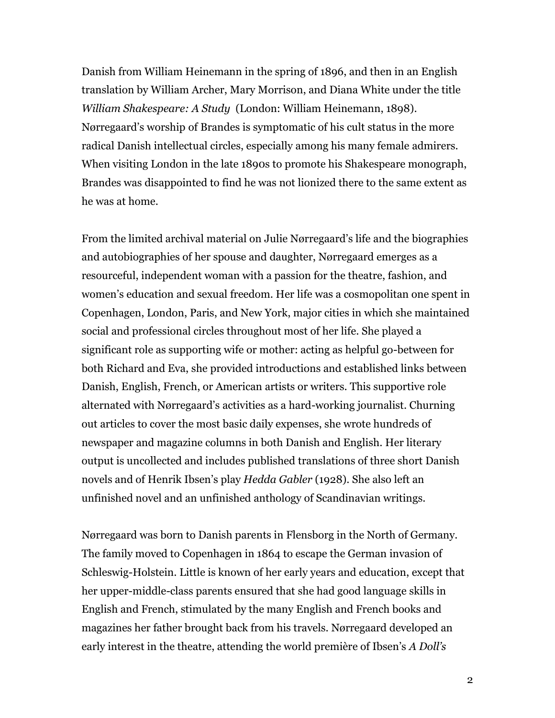Danish from William Heinemann in the spring of 1896, and then in an English translation by William Archer, Mary Morrison, and Diana White under the title *William Shakespeare: A Study* (London: William Heinemann, 1898). Nørregaard's worship of Brandes is symptomatic of his cult status in the more radical Danish intellectual circles, especially among his many female admirers. When visiting London in the late 1890s to promote his Shakespeare monograph, Brandes was disappointed to find he was not lionized there to the same extent as he was at home.

From the limited archival material on Julie Nørregaard's life and the biographies and autobiographies of her spouse and daughter, Nørregaard emerges as a resourceful, independent woman with a passion for the theatre, fashion, and women's education and sexual freedom. Her life was a cosmopolitan one spent in Copenhagen, London, Paris, and New York, major cities in which she maintained social and professional circles throughout most of her life. She played a significant role as supporting wife or mother: acting as helpful go-between for both Richard and Eva, she provided introductions and established links between Danish, English, French, or American artists or writers. This supportive role alternated with Nørregaard's activities as a hard-working journalist. Churning out articles to cover the most basic daily expenses, she wrote hundreds of newspaper and magazine columns in both Danish and English. Her literary output is uncollected and includes published translations of three short Danish novels and of Henrik Ibsen's play *Hedda Gabler* (1928). She also left an unfinished novel and an unfinished anthology of Scandinavian writings.

Nørregaard was born to Danish parents in Flensborg in the North of Germany. The family moved to Copenhagen in 1864 to escape the German invasion of Schleswig-Holstein. Little is known of her early years and education, except that her upper-middle-class parents ensured that she had good language skills in English and French, stimulated by the many English and French books and magazines her father brought back from his travels. Nørregaard developed an early interest in the theatre, attending the world première of Ibsen's *A Doll's*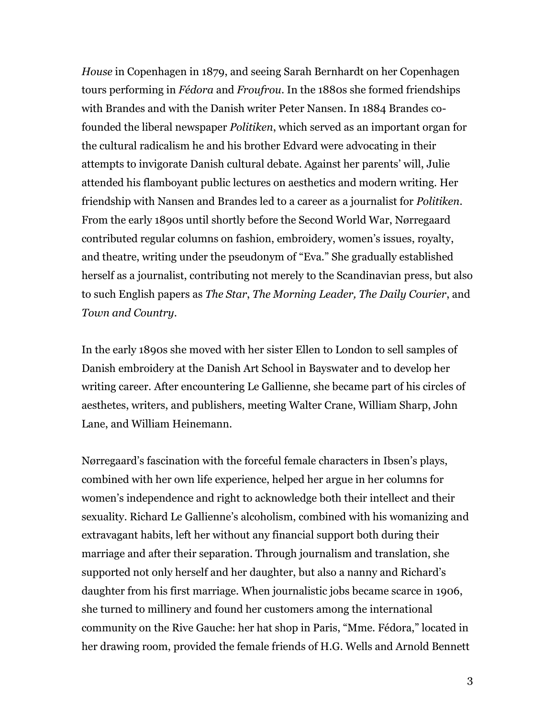*House* in Copenhagen in 1879, and seeing Sarah Bernhardt on her Copenhagen tours performing in *Fédora* and *Froufrou*. In the 1880s she formed friendships with Brandes and with the Danish writer Peter Nansen. In 1884 Brandes cofounded the liberal newspaper *Politiken*, which served as an important organ for the cultural radicalism he and his brother Edvard were advocating in their attempts to invigorate Danish cultural debate. Against her parents' will, Julie attended his flamboyant public lectures on aesthetics and modern writing. Her friendship with Nansen and Brandes led to a career as a journalist for *Politiken*. From the early 1890s until shortly before the Second World War, Nørregaard contributed regular columns on fashion, embroidery, women's issues, royalty, and theatre, writing under the pseudonym of "Eva." She gradually established herself as a journalist, contributing not merely to the Scandinavian press, but also to such English papers as *The Star*, *The Morning Leader, The Daily Courier*, and *Town and Country*.

In the early 1890s she moved with her sister Ellen to London to sell samples of Danish embroidery at the Danish Art School in Bayswater and to develop her writing career. After encountering Le Gallienne, she became part of his circles of aesthetes, writers, and publishers, meeting Walter Crane, William Sharp, John Lane, and William Heinemann.

Nørregaard's fascination with the forceful female characters in Ibsen's plays, combined with her own life experience, helped her argue in her columns for women's independence and right to acknowledge both their intellect and their sexuality. Richard Le Gallienne's alcoholism, combined with his womanizing and extravagant habits, left her without any financial support both during their marriage and after their separation. Through journalism and translation, she supported not only herself and her daughter, but also a nanny and Richard's daughter from his first marriage. When journalistic jobs became scarce in 1906, she turned to millinery and found her customers among the international community on the Rive Gauche: her hat shop in Paris, "Mme. Fédora," located in her drawing room, provided the female friends of H.G. Wells and Arnold Bennett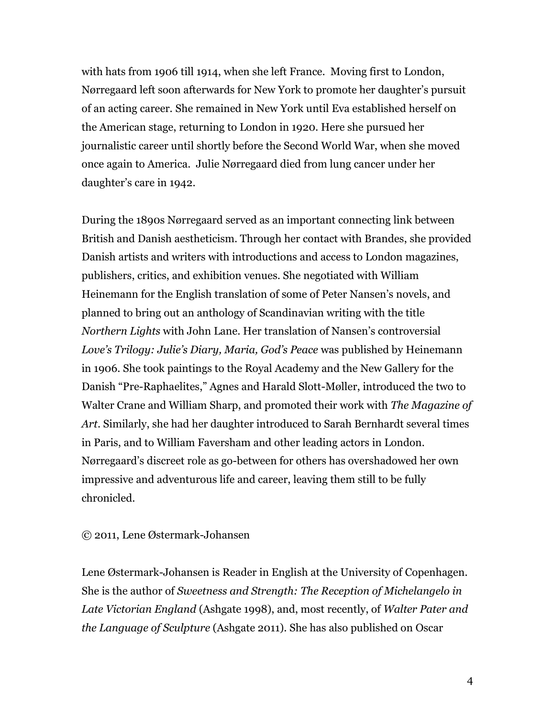with hats from 1906 till 1914, when she left France. Moving first to London, Nørregaard left soon afterwards for New York to promote her daughter's pursuit of an acting career. She remained in New York until Eva established herself on the American stage, returning to London in 1920. Here she pursued her journalistic career until shortly before the Second World War, when she moved once again to America. Julie Nørregaard died from lung cancer under her daughter's care in 1942.

During the 1890s Nørregaard served as an important connecting link between British and Danish aestheticism. Through her contact with Brandes, she provided Danish artists and writers with introductions and access to London magazines, publishers, critics, and exhibition venues. She negotiated with William Heinemann for the English translation of some of Peter Nansen's novels, and planned to bring out an anthology of Scandinavian writing with the title *Northern Lights* with John Lane. Her translation of Nansen's controversial *Love's Trilogy: Julie's Diary, Maria, God's Peace* was published by Heinemann in 1906. She took paintings to the Royal Academy and the New Gallery for the Danish "Pre-Raphaelites," Agnes and Harald Slott-Møller, introduced the two to Walter Crane and William Sharp, and promoted their work with *The Magazine of Art*. Similarly, she had her daughter introduced to Sarah Bernhardt several times in Paris, and to William Faversham and other leading actors in London. Nørregaard's discreet role as go-between for others has overshadowed her own impressive and adventurous life and career, leaving them still to be fully chronicled.

## © 2011, Lene Østermark-Johansen

Lene Østermark-Johansen is Reader in English at the University of Copenhagen. She is the author of *Sweetness and Strength: The Reception of Michelangelo in Late Victorian England* (Ashgate 1998), and, most recently, of *Walter Pater and the Language of Sculpture* (Ashgate 2011). She has also published on Oscar